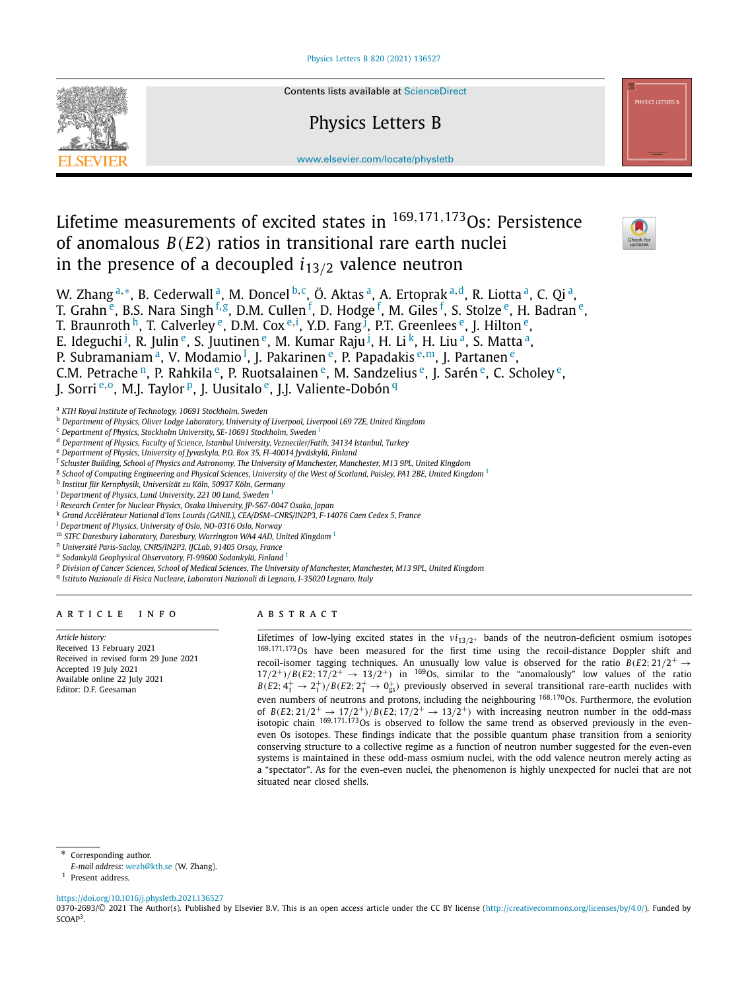

Contents lists available at [ScienceDirect](http://www.ScienceDirect.com/)

# Physics Letters B



[www.elsevier.com/locate/physletb](http://www.elsevier.com/locate/physletb)

# Lifetime measurements of excited states in <sup>169</sup>*,*171*,*173Os: Persistence of anomalous *B(E*2*)* ratios in transitional rare earth nuclei in the presence of a decoupled *i*13*/*<sup>2</sup> valence neutron



W. Zhang<sup>a,∗</sup>, B. Cederwall<sup>a</sup>, M. Doncel<sup>b,c</sup>, Ö. Aktas<sup>a</sup>, A. Ertoprak<sup>a,d</sup>, R. Liotta<sup>a</sup>, C. Qi<sup>a</sup>, T. Grahn <sup>e</sup>, B.S. Nara Singh <sup>f,g</sup>, D.M. Cullen <sup>f</sup>, D. Hodge <sup>f</sup>, M. Giles <sup>f</sup>, S. Stolze <sup>e</sup>, H. Badran <sup>e</sup>, T. Braunroth <sup>h</sup>, T. Calverley <sup>e</sup>, D.M. Cox <sup>e,i</sup>, Y.D. Fang <sup>J</sup>, P.T. Greenlees <sup>e</sup>, J. Hilton <sup>e</sup>, E. Ideguchi <sup>j</sup>, R. Julin <sup>e</sup>, S. Juutinen <sup>e</sup>, M. Kumar Raju <sup>j</sup>, H. Li <sup>k</sup>, H. Liu <sup>a</sup>, S. Matta <sup>a</sup>, P. Subramaniam<sup>a</sup>, V. Modamio<sup>1</sup>, J. Pakarinen <sup>e</sup>, P. Papadakis <sup>e,m</sup>, J. Partanen <sup>e</sup>, C.M. Petrache<sup>n</sup>, P. Rahkila<sup>e</sup>, P. Ruotsalainen<sup>e</sup>, M. Sandzelius<sup>e</sup>, J. Sarén<sup>e</sup>, C. Scholey<sup>e</sup>, I. Sorri<sup>e,o</sup>, M.J. Taylor<sup>p</sup>, J. Uusitalo<sup>e</sup>, J.J. Valiente-Dobón<sup>q</sup>

<sup>a</sup> *KTH Royal Institute of Technology, 10691 Stockholm, Sweden*

- <sup>b</sup> *Department of Physics, Oliver Lodge Laboratory, University of Liverpool, Liverpool L69 7ZE, United Kingdom*
- <sup>c</sup> *Department of Physics, Stockholm University, SE-10691 Stockholm, Sweden* <sup>1</sup>
- <sup>d</sup> *Department of Physics, Faculty of Science, Istanbul University, Vezneciler/Fatih, 34134 Istanbul, Turkey*
- <sup>e</sup> *Department of Physics, University of Jyvaskyla, P.O. Box 35, FI-40014 Jyväskylä, Finland*
- <sup>f</sup> Schuster Building, School of Physics and Astronomy, The University of Manchester, Manchester, M13 9PL, United Kingdom
- $8$  School of Computing Engineering and Physical Sciences, University of the West of Scotland, Paisley, PA1 2BE, United Kingdom  $^1$
- <sup>h</sup> *Institut für Kernphysik, Universität zu Köln, 50937 Köln, Germany*
- <sup>i</sup> Department of Physics, Lund University, 221 00 Lund, Sweden
- <sup>j</sup> *Research Center for Nuclear Physics, Osaka University, JP-567-0047 Osaka, Japan*
- <sup>k</sup> *Grand Accélérateur National d'Ions Lourds (GANIL), CEA/DSM–CNRS/IN2P3, F-14076 Caen Cedex 5, France*
- <sup>l</sup> *Department of Physics, University of Oslo, NO-0316 Oslo, Norway*
- <sup>m</sup> *STFC Daresbury Laboratory, Daresbury, Warrington WA4 4AD, United Kingdom* <sup>1</sup>
- <sup>n</sup> *Université Paris-Saclay, CNRS/IN2P3, IJCLab, 91405 Orsay, France*
- <sup>o</sup> *Sodankylä Geophysical Observatory, FI-99600 Sodankylä, Finland* <sup>1</sup>
- P Division of Cancer Sciences, School of Medical Sciences, The University of Manchester, Manchester, M13 9PL, United Kingdom
- <sup>q</sup> *Istituto Nazionale di Fisica Nucleare, Laboratori Nazionali di Legnaro, I-35020 Legnaro, Italy*

# A R T I C L E I N F O A B S T R A C T

*Article history:* Received 13 February 2021 Received in revised form 29 June 2021 Accepted 19 July 2021 Available online 22 July 2021 Editor: D.F. Geesaman

Lifetimes of low-lying excited states in the *νi*13*/*2<sup>+</sup> bands of the neutron-deficient osmium isotopes <sup>169</sup>*,*171*,*173Os have been measured for the first time using the recoil-distance Doppler shift and recoil-isomer tagging techniques. An unusually low value is observed for the ratio  $B(E2; 21/2^+ \rightarrow$  $17/2^+/B(E2; 17/2^+ \rightarrow 13/2^+)$  in <sup>169</sup>Os, similar to the "anomalously" low values of the ratio  $B(E2; 4^+_1 \rightarrow 2^+_1)/B(E2; 2^+_1 \rightarrow 0^+_{gs})$  previously observed in several transitional rare-earth nuclides with even numbers of neutrons and protons, including the neighbouring <sup>168,170</sup>Os. Furthermore, the evolution of  $B(E2; 21/2^+ \rightarrow 17/2^+)/B(E2; 17/2^+ \rightarrow 13/2^+)$  with increasing neutron number in the odd-mass isotopic chain <sup>169,171,173</sup>Os is observed to follow the same trend as observed previously in the eveneven Os isotopes. These findings indicate that the possible quantum phase transition from a seniority conserving structure to a collective regime as a function of neutron number suggested for the even-even systems is maintained in these odd-mass osmium nuclei, with the odd valence neutron merely acting as a "spectator". As for the even-even nuclei, the phenomenon is highly unexpected for nuclei that are not situated near closed shells.

Corresponding author.

*E-mail address:* [wezh@kth.se](mailto:wezh@kth.se) (W. Zhang).

<sup>1</sup> Present address.

<https://doi.org/10.1016/j.physletb.2021.136527>

0370-2693/© 2021 The Author(s). Published by Elsevier B.V. This is an open access article under the CC BY license [\(http://creativecommons.org/licenses/by/4.0/](http://creativecommons.org/licenses/by/4.0/)). Funded by SCOAP<sup>3</sup>.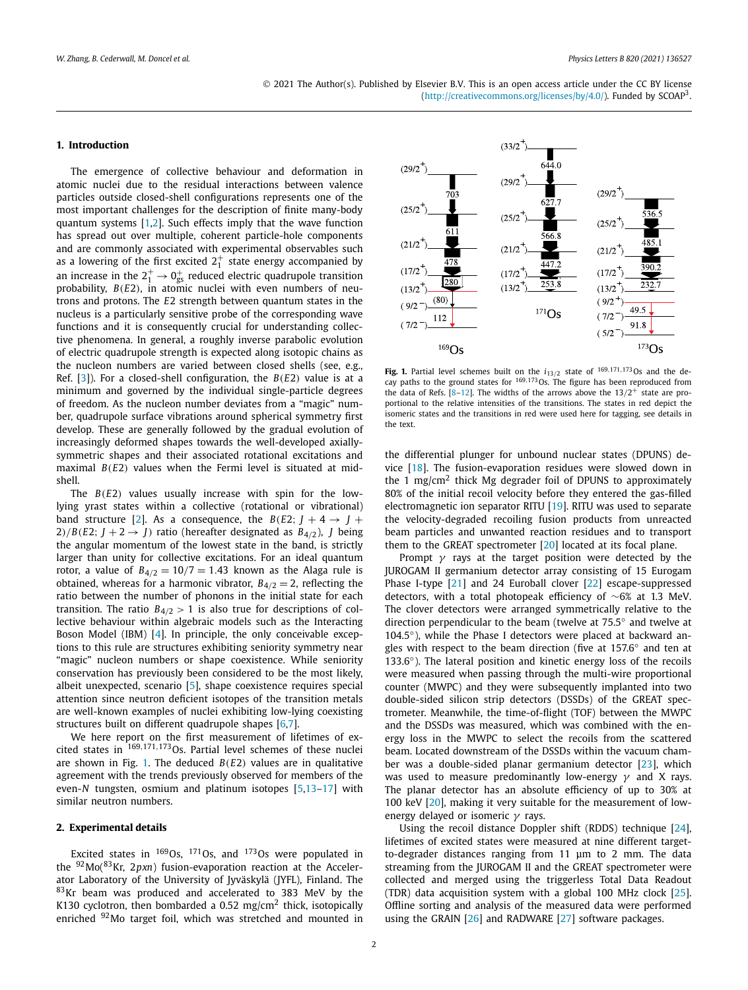# <span id="page-1-0"></span>**1. Introduction**

The emergence of collective behaviour and deformation in atomic nuclei due to the residual interactions between valence particles outside closed-shell configurations represents one of the most important challenges for the description of finite many-body quantum systems [[1,2](#page-6-0)]. Such effects imply that the wave function has spread out over multiple, coherent particle-hole components and are commonly associated with experimental observables such as a lowering of the first excited  $2^+_1$  state energy accompanied by an increase in the  $2^+_1 \rightarrow 0^+_\text{gs}$  reduced electric quadrupole transition probability, *B(E*2*)*, in atomic nuclei with even numbers of neutrons and protons. The *E*2 strength between quantum states in the nucleus is a particularly sensitive probe of the corresponding wave functions and it is consequently crucial for understanding collective phenomena. In general, a roughly inverse parabolic evolution of electric quadrupole strength is expected along isotopic chains as the nucleon numbers are varied between closed shells (see, e.g., Ref.  $[3]$  $[3]$  $[3]$ ). For a closed-shell configuration, the  $B(E2)$  value is at a minimum and governed by the individual single-particle degrees of freedom. As the nucleon number deviates from a "magic" number, quadrupole surface vibrations around spherical symmetry first develop. These are generally followed by the gradual evolution of increasingly deformed shapes towards the well-developed axiallysymmetric shapes and their associated rotational excitations and maximal *B(E*2*)* values when the Fermi level is situated at midshell.

The *B(E*2*)* values usually increase with spin for the lowlying yrast states within a collective (rotational or vibrational) band structure [[2](#page-6-0)]. As a consequence, the  $B(E2; J + 4 \rightarrow J +$ 2)/*B*(*E*2;  $J + 2 \rightarrow J$ ) ratio (hereafter designated as  $B_{4/2}$ ), *J* being the angular momentum of the lowest state in the band, is strictly larger than unity for collective excitations. For an ideal quantum rotor, a value of  $B_{4/2} = 10/7 = 1.43$  known as the Alaga rule is obtained, whereas for a harmonic vibrator,  $B_{4/2} = 2$ , reflecting the ratio between the number of phonons in the initial state for each transition. The ratio  $B_{4/2} > 1$  is also true for descriptions of collective behaviour within algebraic models such as the Interacting Boson Model (IBM) [\[4](#page-6-0)]. In principle, the only conceivable exceptions to this rule are structures exhibiting seniority symmetry near "magic" nucleon numbers or shape coexistence. While seniority conservation has previously been considered to be the most likely, albeit unexpected, scenario [[5](#page-6-0)], shape coexistence requires special attention since neutron deficient isotopes of the transition metals are well-known examples of nuclei exhibiting low-lying coexisting structures built on different quadrupole shapes [[6,7\]](#page-6-0).

We here report on the first measurement of lifetimes of excited states in <sup>169</sup>*,*171*,*173Os. Partial level schemes of these nuclei are shown in Fig. 1. The deduced *B(E*2*)* values are in qualitative agreement with the trends previously observed for members of the even-*N* tungsten, osmium and platinum isotopes [\[5,13–17\]](#page-6-0) with similar neutron numbers.

# **2. Experimental details**

Excited states in  $169$ Os,  $171$ Os, and  $173$ Os were populated in the 92Mo(83Kr, 2*pxn*) fusion-evaporation reaction at the Accelerator Laboratory of the University of Jyväskylä (JYFL), Finland. The 83Kr beam was produced and accelerated to 383 MeV by the K130 cyclotron, then bombarded a 0.52 mg/cm<sup>2</sup> thick, isotopically enriched <sup>92</sup>Mo target foil, which was stretched and mounted in



**Fig. 1.** Partial level schemes built on the  $i_{13/2}$  state of  $^{169,171,173}$ Os and the de-<br>cay paths to the ground states for  $^{169,173}$ Os. The figure has been reproduced from the data of Refs.  $[8-12]$ . The widths of the arrows above the  $13/2^+$  state are proportional to the relative intensities of the transitions. The states in red depict the isomeric states and the transitions in red were used here for tagging, see details in the text.

the differential plunger for unbound nuclear states (DPUNS) device [\[18\]](#page-6-0). The fusion-evaporation residues were slowed down in the 1 mg/cm<sup>2</sup> thick Mg degrader foil of DPUNS to approximately 80% of the initial recoil velocity before they entered the gas-filled electromagnetic ion separator RITU  $[19]$  $[19]$ . RITU was used to separate the velocity-degraded recoiling fusion products from unreacted beam particles and unwanted reaction residues and to transport them to the GREAT spectrometer [\[20\]](#page-6-0) located at its focal plane.

Prompt *γ* rays at the target position were detected by the JUROGAM II germanium detector array consisting of 15 Eurogam Phase I-type [[21](#page-6-0)] and 24 Euroball clover [\[22](#page-6-0)] escape-suppressed detectors, with a total photopeak efficiency of ∼6% at 1.3 MeV. The clover detectors were arranged symmetrically relative to the direction perpendicular to the beam (twelve at 75.5◦ and twelve at 104.5<sup>°</sup>), while the Phase I detectors were placed at backward angles with respect to the beam direction (five at 157.6° and ten at 133.6<sup>°</sup>). The lateral position and kinetic energy loss of the recoils were measured when passing through the multi-wire proportional counter (MWPC) and they were subsequently implanted into two double-sided silicon strip detectors (DSSDs) of the GREAT spectrometer. Meanwhile, the time-of-flight (TOF) between the MWPC and the DSSDs was measured, which was combined with the energy loss in the MWPC to select the recoils from the scattered beam. Located downstream of the DSSDs within the vacuum chamber was a double-sided planar germanium detector [\[23\]](#page-6-0), which was used to measure predominantly low-energy *γ* and X rays. The planar detector has an absolute efficiency of up to 30% at 100 keV [[20](#page-6-0)], making it very suitable for the measurement of lowenergy delayed or isomeric *γ* rays.

Using the recoil distance Doppler shift (RDDS) technique [[24\]](#page-6-0), lifetimes of excited states were measured at nine different targetto-degrader distances ranging from 11 μm to 2 mm. The data streaming from the JUROGAM II and the GREAT spectrometer were collected and merged using the triggerless Total Data Readout (TDR) data acquisition system with a global 100 MHz clock [[25\]](#page-6-0). Offline sorting and analysis of the measured data were performed using the GRAIN [\[26\]](#page-6-0) and RADWARE [\[27\]](#page-6-0) software packages.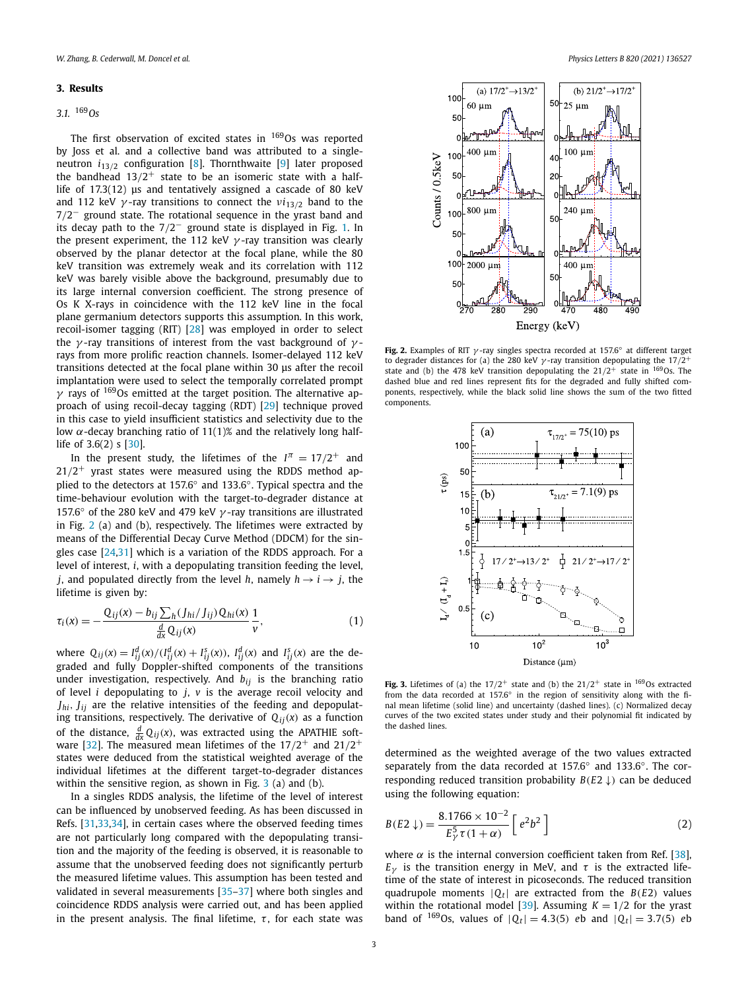## <span id="page-2-0"></span>**3. Results**

# *3.1.* <sup>169</sup>*Os*

The first observation of excited states in  $169$ Os was reported by Joss et al. and a collective band was attributed to a singleneutron *i*13*/*<sup>2</sup> configuration [[8](#page-6-0)]. Thornthwaite [\[9\]](#page-6-0) later proposed the bandhead  $13/2^+$  state to be an isomeric state with a halflife of 17.3(12) μs and tentatively assigned a cascade of 80 keV and 112 keV *γ* -ray transitions to connect the *νi*13*/*<sup>2</sup> band to the 7*/*2− ground state. The rotational sequence in the yrast band and its decay path to the 7*/*2− ground state is displayed in Fig. [1.](#page-1-0) In the present experiment, the 112 keV *γ* -ray transition was clearly observed by the planar detector at the focal plane, while the 80 keV transition was extremely weak and its correlation with 112 keV was barely visible above the background, presumably due to its large internal conversion coefficient. The strong presence of Os K X-rays in coincidence with the 112 keV line in the focal plane germanium detectors supports this assumption. In this work, recoil-isomer tagging (RIT) [\[28\]](#page-6-0) was employed in order to select the *γ* -ray transitions of interest from the vast background of *γ* rays from more prolific reaction channels. Isomer-delayed 112 keV transitions detected at the focal plane within 30 μs after the recoil implantation were used to select the temporally correlated prompt *γ* rays of 169Os emitted at the target position. The alternative approach of using recoil-decay tagging (RDT) [\[29\]](#page-6-0) technique proved in this case to yield insufficient statistics and selectivity due to the low *α*-decay branching ratio of 11(1)% and the relatively long halflife of 3.6(2) s [\[30\]](#page-6-0).

In the present study, the lifetimes of the  $I^{\pi} = 17/2^+$  and  $21/2$ <sup>+</sup> yrast states were measured using the RDDS method applied to the detectors at 157.6◦ and 133.6◦. Typical spectra and the time-behaviour evolution with the target-to-degrader distance at 157.6◦ of the 280 keV and 479 keV *γ* -ray transitions are illustrated in Fig. 2 (a) and (b), respectively. The lifetimes were extracted by means of the Differential Decay Curve Method (DDCM) for the singles case [[24,31](#page-6-0)] which is a variation of the RDDS approach. For a level of interest, *i*, with a depopulating transition feeding the level, *j*, and populated directly from the level *h*, namely  $h \rightarrow i \rightarrow j$ , the lifetime is given by:

$$
\tau_i(x) = -\frac{Q_{ij}(x) - b_{ij} \sum_h (J_{hi}/J_{ij}) Q_{hi}(x)}{\frac{d}{dx} Q_{ij}(x)} \frac{1}{v},\qquad(1)
$$

where  $Q_{ij}(x) = I_{ij}^d(x)/(I_{ij}^d(x) + I_{ij}^s(x)), I_{ij}^d(x)$  and  $I_{ij}^s(x)$  are the degraded and fully Doppler-shifted components of the transitions under investigation, respectively. And *bij* is the branching ratio of level *i* depopulating to *j*, *v* is the average recoil velocity and *Jhi, Jij* are the relative intensities of the feeding and depopulating transitions, respectively. The derivative of  $Q_{ij}(x)$  as a function of the distance,  $\frac{d}{dx}Q_{ij}(x)$ , was extracted using the APATHIE software [[32](#page-6-0)]. The measured mean lifetimes of the 17*/*2+ and 21*/*2+ states were deduced from the statistical weighted average of the individual lifetimes at the different target-to-degrader distances within the sensitive region, as shown in Fig. 3 (a) and (b).

In a singles RDDS analysis, the lifetime of the level of interest can be influenced by unobserved feeding. As has been discussed in Refs. [\[31,33,34\]](#page-6-0), in certain cases where the observed feeding times are not particularly long compared with the depopulating transition and the majority of the feeding is observed, it is reasonable to assume that the unobserved feeding does not significantly perturb the measured lifetime values. This assumption has been tested and validated in several measurements [[35–37\]](#page-6-0) where both singles and coincidence RDDS analysis were carried out, and has been applied in the present analysis. The final lifetime,  $\tau$ , for each state was



**Fig. 2.** Examples of RIT *γ* -ray singles spectra recorded at 157.6◦ at different target to degrader distances for (a) the 280 keV *γ* -ray transition depopulating the 17*/*2<sup>+</sup> state and (b) the 478 keV transition depopulating the  $21/2^+$  state in  $169$ Os. The dashed blue and red lines represent fits for the degraded and fully shifted components, respectively, while the black solid line shows the sum of the two fitted components.



**Fig. 3.** Lifetimes of (a) the  $17/2^+$  state and (b) the  $21/2^+$  state in  $169$ Os extracted from the data recorded at 157.6◦ in the region of sensitivity along with the final mean lifetime (solid line) and uncertainty (dashed lines). (c) Normalized decay curves of the two excited states under study and their polynomial fit indicated by the dashed lines.

determined as the weighted average of the two values extracted separately from the data recorded at 157.6<sup>°</sup> and 133.6<sup>°</sup>. The corresponding reduced transition probability *B(E*2 ↓*)* can be deduced using the following equation:

$$
B(E2 \downarrow) = \frac{8.1766 \times 10^{-2}}{E_{\gamma}^{5} \tau (1 + \alpha)} \left[ e^{2} b^{2} \right]
$$
 (2)

where  $\alpha$  is the internal conversion coefficient taken from Ref. [[38\]](#page-6-0), *E*<sub>*γ*</sub> is the transition energy in MeV, and  $τ$  is the extracted lifetime of the state of interest in picoseconds. The reduced transition quadrupole moments  $|Q_t|$  are extracted from the  $B(E2)$  values within the rotational model [[39\]](#page-6-0). Assuming  $K = 1/2$  for the yrast band of <sup>169</sup>Os, values of  $|Q_t| = 4.3(5)$  *eb* and  $|Q_t| = 3.7(5)$  *eb*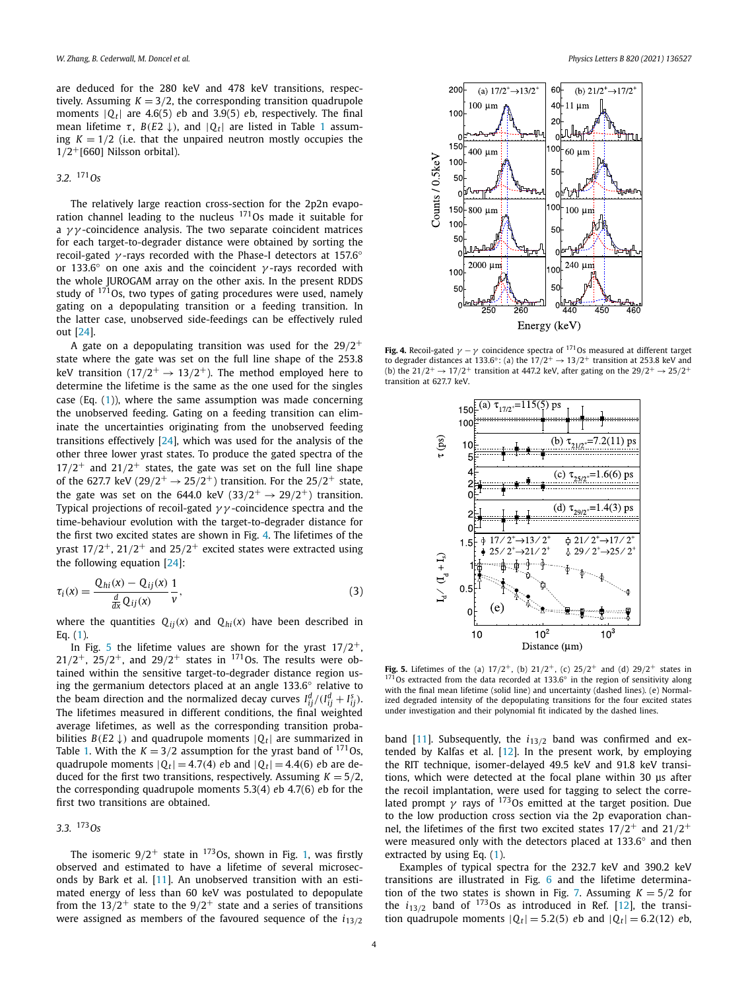are deduced for the 280 keV and 478 keV transitions, respectively. Assuming  $K = 3/2$ , the corresponding transition quadrupole moments  $|Q_t|$  are 4.6(5) *eb* and 3.9(5) *eb*, respectively. The final mean lifetime *τ*,  $B(E2 \downarrow)$ , and  $|O_t|$  are listed in Table [1](#page-4-0) assuming  $K = 1/2$  (i.e. that the unpaired neutron mostly occupies the 1*/*2+[660] Nilsson orbital).

# *3.2.* <sup>171</sup>*Os*

The relatively large reaction cross-section for the 2p2n evaporation channel leading to the nucleus 171Os made it suitable for a *γ γ* -coincidence analysis. The two separate coincident matrices for each target-to-degrader distance were obtained by sorting the recoil-gated *γ* -rays recorded with the Phase-I detectors at 157.6◦ or 133.6◦ on one axis and the coincident *γ* -rays recorded with the whole JUROGAM array on the other axis. In the present RDDS study of  $171$ Os, two types of gating procedures were used, namely gating on a depopulating transition or a feeding transition. In the latter case, unobserved side-feedings can be effectively ruled out [[24](#page-6-0)].

A gate on a depopulating transition was used for the 29*/*2+ state where the gate was set on the full line shape of the 253.8 keV transition  $(17/2^+ \rightarrow 13/2^+)$ . The method employed here to determine the lifetime is the same as the one used for the singles case (Eq. ([1](#page-2-0))), where the same assumption was made concerning the unobserved feeding. Gating on a feeding transition can eliminate the uncertainties originating from the unobserved feeding transitions effectively [\[24](#page-6-0)], which was used for the analysis of the other three lower yrast states. To produce the gated spectra of the  $17/2^+$  and  $21/2^+$  states, the gate was set on the full line shape of the 627.7 keV ( $29/2^+ \rightarrow 25/2^+$ ) transition. For the  $25/2^+$  state, the gate was set on the 644.0 keV  $(33/2^+ \rightarrow 29/2^+)$  transition. Typical projections of recoil-gated *γ γ* -coincidence spectra and the time-behaviour evolution with the target-to-degrader distance for the first two excited states are shown in Fig. 4. The lifetimes of the yrast  $17/2^+$ ,  $21/2^+$  and  $25/2^+$  excited states were extracted using the following equation [\[24\]](#page-6-0):

$$
\tau_i(x) = \frac{Q_{hi}(x) - Q_{ij}(x)}{\frac{d}{dx}Q_{ij}(x)} \frac{1}{v},\tag{3}
$$

where the quantities  $Q_{ij}(x)$  and  $Q_{hi}(x)$  have been described in Eq. ([1](#page-2-0)).

In Fig. 5 the lifetime values are shown for the yrast  $17/2^+$ ,  $21/2^+$ ,  $25/2^+$ , and  $29/2^+$  states in <sup>171</sup>Os. The results were obtained within the sensitive target-to-degrader distance region using the germanium detectors placed at an angle 133.6◦ relative to the beam direction and the normalized decay curves  $I_{ij}^d/(I_{ij}^d+I_{ij}^s)$ . The lifetimes measured in different conditions, the final weighted average lifetimes, as well as the corresponding transition probabilities  $B(E2 \downarrow)$  and quadrupole moments  $|Q_t|$  are summarized in Table [1.](#page-4-0) With the  $K = 3/2$  assumption for the yrast band of <sup>171</sup>Os, quadrupole moments  $|Q_t| = 4.7(4)$  *eb* and  $|Q_t| = 4.4(6)$  *eb* are deduced for the first two transitions, respectively. Assuming  $K = 5/2$ , the corresponding quadrupole moments 5.3(4) *e*b 4.7(6) *e*b for the first two transitions are obtained.

# *3.3.* <sup>173</sup>*Os*

The isomeric  $9/2^+$  state in <sup>173</sup>Os, shown in Fig. [1,](#page-1-0) was firstly observed and estimated to have a lifetime of several microseconds by Bark et al. [\[11\]](#page-6-0). An unobserved transition with an estimated energy of less than 60 keV was postulated to depopulate from the  $13/2^+$  state to the  $9/2^+$  state and a series of transitions were assigned as members of the favoured sequence of the *i*13*/*<sup>2</sup>



**Fig. 4.** Recoil-gated  $\gamma - \gamma$  coincidence spectra of <sup>171</sup>Os measured at different target to degrader distances at 133.6°: (a) the  $17/2^+ \rightarrow 13/2^+$  transition at 253.8 keV and (b) the  $21/2^+ \rightarrow 17/2^+$  transition at 447.2 keV, after gating on the  $29/2^+ \rightarrow 25/2^+$ transition at 627.7 keV.



**Fig. 5.** Lifetimes of the (a)  $17/2^+$ , (b)  $21/2^+$ , (c)  $25/2^+$  and (d)  $29/2^+$  states in  $171$ Os extracted from the data recorded at 133.6 $\degree$  in the region of sensitivity along with the final mean lifetime (solid line) and uncertainty (dashed lines). (e) Normalized degraded intensity of the depopulating transitions for the four excited states under investigation and their polynomial fit indicated by the dashed lines.

band [\[11](#page-6-0)]. Subsequently, the *i*13*/*<sup>2</sup> band was confirmed and extended by Kalfas et al. [[12\]](#page-6-0). In the present work, by employing the RIT technique, isomer-delayed 49.5 keV and 91.8 keV transitions, which were detected at the focal plane within 30 μs after the recoil implantation, were used for tagging to select the correlated prompt  $\gamma$  rays of <sup>173</sup>Os emitted at the target position. Due to the low production cross section via the 2p evaporation channel, the lifetimes of the first two excited states 17*/*2+ and 21*/*2+ were measured only with the detectors placed at 133.6<sup>°</sup> and then extracted by using Eq. ([1](#page-2-0)).

Examples of typical spectra for the 232.7 keV and 390.2 keV transitions are illustrated in Fig. [6](#page-4-0) and the lifetime determina-tion of the two states is shown in Fig. [7.](#page-4-0) Assuming  $K = 5/2$  for the  $i_{13/2}$  band of  $173$ Os as introduced in Ref. [\[12\]](#page-6-0), the transition quadrupole moments  $|Q_t| = 5.2(5)$  *eb* and  $|Q_t| = 6.2(12)$  *eb*,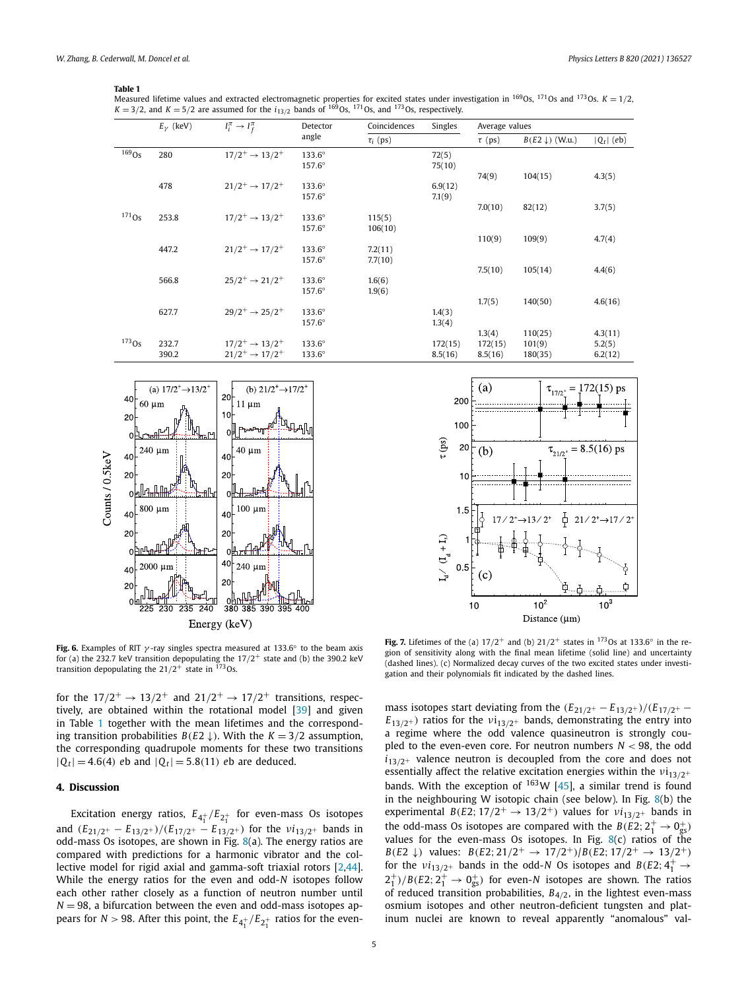## <span id="page-4-0"></span>**Table 1**

Measured lifetime values and extracted electromagnetic properties for excited states under investigation in <sup>169</sup>Os, <sup>171</sup>Os and <sup>173</sup>Os. *K* = 1/2,  $K = 3/2$ , and  $K = 5/2$  are assumed for the  $i_{13/2}$  bands of <sup>169</sup>Os, <sup>171</sup>Os, and <sup>173</sup>Os, respectively.

|             | $E_{\nu}$ (keV) | $I_i^{\pi} \rightarrow I_f^{\pi}$                          | Detector<br>angle | Coincidences<br>$\tau_i$ (ps) | Singles | Average values |                           |              |
|-------------|-----------------|------------------------------------------------------------|-------------------|-------------------------------|---------|----------------|---------------------------|--------------|
|             |                 |                                                            |                   |                               |         | $\tau$ (ps)    | $B(E2 \downarrow)$ (W.u.) | $ Q_t $ (eb) |
| $169$ Os    | 280             | $17/2^+ \rightarrow 13/2^+$                                | $133.6^\circ$     |                               | 72(5)   |                |                           |              |
|             |                 |                                                            | $157.6^\circ$     |                               | 75(10)  |                |                           |              |
|             |                 |                                                            |                   |                               |         | 74(9)          | 104(15)                   | 4.3(5)       |
|             | 478             | $21/2^+ \rightarrow 17/2^+$                                | $133.6^\circ$     |                               | 6.9(12) |                |                           |              |
|             |                 |                                                            | $157.6^\circ$     |                               | 7.1(9)  |                |                           |              |
| $^{171}$ Os |                 |                                                            |                   |                               |         | 7.0(10)        | 82(12)                    | 3.7(5)       |
|             | 253.8<br>447.2  | $17/2^+ \rightarrow 13/2^+$<br>$21/2^+ \rightarrow 17/2^+$ | $133.6^\circ$     | 115(5)                        |         |                |                           |              |
|             |                 |                                                            | $157.6^\circ$     | 106(10)                       |         |                |                           |              |
|             |                 |                                                            |                   |                               |         | 110(9)         | 109(9)                    | 4.7(4)       |
|             |                 |                                                            | $133.6^\circ$     | 7.2(11)                       |         |                |                           |              |
|             |                 |                                                            | $157.6^\circ$     | 7.7(10)                       |         |                |                           |              |
|             |                 |                                                            |                   |                               |         | 7.5(10)        | 105(14)                   | 4.4(6)       |
|             | 566.8           | $25/2^+ \rightarrow 21/2^+$                                | $133.6^\circ$     | 1.6(6)                        |         |                |                           |              |
|             |                 |                                                            | $157.6^\circ$     | 1.9(6)                        |         |                |                           |              |
|             |                 |                                                            |                   |                               |         | 1.7(5)         | 140(50)                   | 4.6(16)      |
|             | 627.7           | $29/2^+ \rightarrow 25/2^+$                                | $133.6^\circ$     |                               | 1.4(3)  |                |                           |              |
|             |                 |                                                            | $157.6^\circ$     |                               | 1.3(4)  |                |                           |              |
|             |                 |                                                            |                   |                               |         | 1.3(4)         | 110(25)                   | 4.3(11)      |
| $173$ Os    | 232.7           | $17/2^+ \rightarrow 13/2^+$                                | $133.6^\circ$     |                               | 172(15) | 172(15)        | 101(9)                    | 5.2(5)       |
|             | 390.2           | $21/2^+ \rightarrow 17/2^+$                                | $133.6^\circ$     |                               | 8.5(16) | 8.5(16)        | 180(35)                   | 6.2(12)      |



**Fig. 6.** Examples of RIT  $\gamma$ -ray singles spectra measured at 133.6 $\circ$  to the beam axis for (a) the 232.7 keV transition depopulating the 17*/*2+ state and (b) the 390.2 keV transition depopulating the 21*/*2<sup>+</sup> state in 173Os.

for the  $17/2^+ \rightarrow 13/2^+$  and  $21/2^+ \rightarrow 17/2^+$  transitions, respectively, are obtained within the rotational model [[39](#page-6-0)] and given in Table 1 together with the mean lifetimes and the corresponding transition probabilities  $B(E2 \downarrow)$ . With the  $K = 3/2$  assumption, the corresponding quadrupole moments for these two transitions  $|Q_t| = 4.6(4)$  *eb* and  $|Q_t| = 5.8(11)$  *eb* are deduced.

# **4. Discussion**

Excitation energy ratios, *E*4<sup>+</sup> */E*2<sup>+</sup> for even-mass Os isotopes and  $(E_{21/2^+} - E_{13/2^+})/(E_{17/2^+} - E_{13/2^+})$  for the  $\nu i_{13/2^+}$  bands in odd-mass Os isotopes, are shown in Fig. [8\(](#page-5-0)a). The energy ratios are compared with predictions for a harmonic vibrator and the collective model for rigid axial and gamma-soft triaxial rotors [\[2,44\]](#page-6-0). While the energy ratios for the even and odd-*N* isotopes follow each other rather closely as a function of neutron number until  $N = 98$ , a bifurcation between the even and odd-mass isotopes appears for *N*  $>$  98. After this point, the  $E_{4_1^+}/E_{2_1^+}$  ratios for the even-



**Fig. 7.** Lifetimes of the (a)  $17/2^+$  and (b)  $21/2^+$  states in  $17^3$ Os at 133.6° in the region of sensitivity along with the final mean lifetime (solid line) and uncertainty (dashed lines). (c) Normalized decay curves of the two excited states under investigation and their polynomials fit indicated by the dashed lines.

mass isotopes start deviating from the  $(E_{21/2} - E_{13/2})/(E_{17/2} - E_{17/2})$  $E_{13/2+}$ ) ratios for the  $\nu$ i<sub>13/2+</sub> bands, demonstrating the entry into a regime where the odd valence quasineutron is strongly coupled to the even-even core. For neutron numbers *N <* 98, the odd  $i_{13/2^+}$  valence neutron is decoupled from the core and does not essentially affect the relative excitation energies within the *ν*i<sub>13/2+</sub> bands. With the exception of  $163W$  [\[45](#page-6-0)], a similar trend is found in the neighbouring W isotopic chain (see below). In Fig. [8\(](#page-5-0)b) the experimental *B*(*E*2;  $17/2^+$   $\rightarrow$   $13/2^+$ ) values for  $vi_{13/2^+}$  bands in the odd-mass Os isotopes are compared with the  $B(E2; 2^+_1 \rightarrow 0^+_{\rm gs})$ values for the even-mass Os isotopes. In Fig.  $8(c)$  $8(c)$  ratios of the *B*(*E*2 ↓*)* values: *B*(*E*2; 21/2<sup>+</sup> → 17/2<sup>+</sup>)/*B*(*E*2; 17/2<sup>+</sup> → 13/2<sup>+</sup>) for the  $vi_{13/2^+}$  bands in the odd-*N* Os isotopes and  $B(E2; 4^+_1 \rightarrow$  $2^+_1$ */B*(*E*2;  $2^+_1$   $\rightarrow$  0<sub>gs</sub>) for even-*N* isotopes are shown. The ratios of reduced transition probabilities, *B*4*/*2, in the lightest even-mass osmium isotopes and other neutron-deficient tungsten and platinum nuclei are known to reveal apparently "anomalous" val-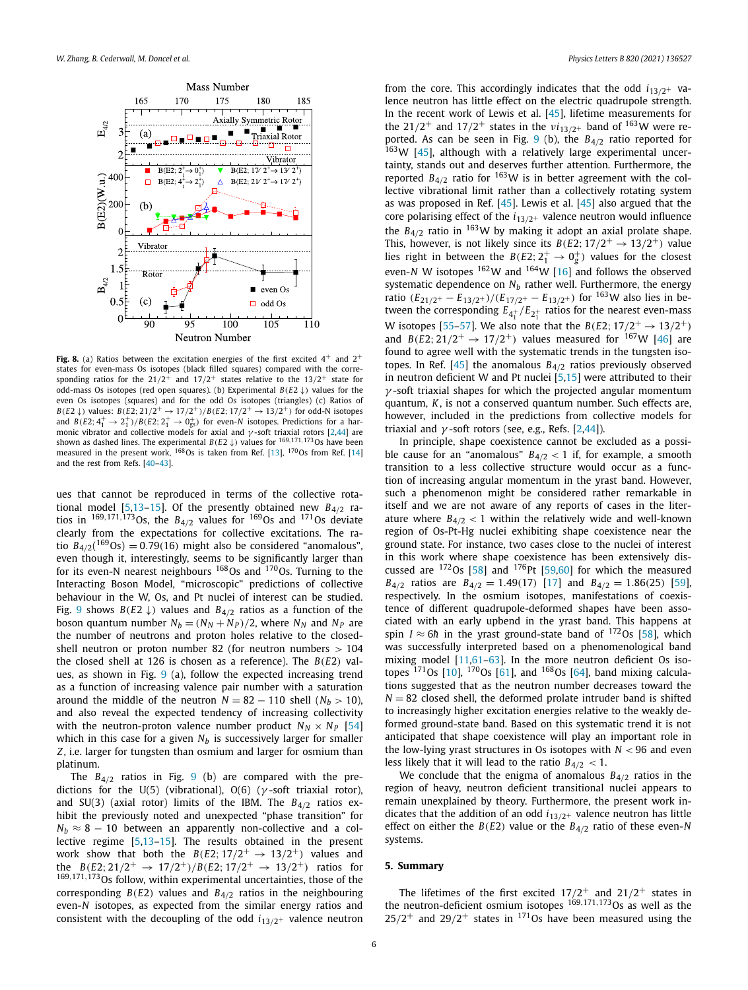<span id="page-5-0"></span>

Fig. 8. (a) Ratios between the excitation energies of the first excited  $4^+$  and  $2^+$ states for even-mass Os isotopes (black filled squares) compared with the corresponding ratios for the  $21/2^+$  and  $17/2^+$  states relative to the  $13/2^+$  state for odd-mass Os isotopes (red open squares). (b) Experimental *B(E*2 ↓*)* values for the even Os isotopes (squares) and for the odd Os isotopes (triangles) (c) Ratios of *B*(*E*2  $\downarrow$ *)* values: *B*(*E*2; 21/2<sup>+</sup>  $\rightarrow$  17/2<sup>+</sup>)/*B*(*E*2; 17/2<sup>+</sup>  $\rightarrow$  13/2<sup>+</sup>) for odd-N isotopes and  $B(E2; 4^+_1 \rightarrow 2^+_1)/B(E2; 2^+_1 \rightarrow 0^+_{gs})$  for even-*N* isotopes. Predictions for a harmonic vibrator and collective models for axial and *γ*-soft triaxial rotors [[2,44\]](#page-6-0) are<br>shown as dashed lines. The experimental *B*(*E*2 ↓) values for <sup>169,170</sup>,17<sup>3</sup>Os have been measured in the present work,  $^{168}$ Os is taken from Ref. [\[13](#page-6-0)],  $^{170}$ Os from Ref. [\[14](#page-6-0)] and the rest from Refs. [\[40–43](#page-6-0)].

ues that cannot be reproduced in terms of the collective rotational model [[5,13–15](#page-6-0)]. Of the presently obtained new *B*4*/*<sup>2</sup> ratios in  $^{169,171,173}$ Os, the  $B_{4/2}$  values for  $^{169}$ Os and  $^{171}$ Os deviate clearly from the expectations for collective excitations. The ratio  $B_{4/2}$ ( $^{169}$ Os) = 0.79(16) might also be considered "anomalous", even though it, interestingly, seems to be significantly larger than for its even-N nearest neighbours <sup>168</sup>Os and <sup>170</sup>Os. Turning to the Interacting Boson Model, "microscopic" predictions of collective behaviour in the W, Os, and Pt nuclei of interest can be studied. Fig. [9](#page-6-0) shows  $B(E2 \downarrow)$  values and  $B_{4/2}$  ratios as a function of the boson quantum number  $N_b = (N_N + N_P)/2$ , where  $N_N$  and  $N_P$  are the number of neutrons and proton holes relative to the closedshell neutron or proton number 82 (for neutron numbers *>* 104 the closed shell at 126 is chosen as a reference). The *B(E*2*)* values, as shown in Fig.  $9$  (a), follow the expected increasing trend as a function of increasing valence pair number with a saturation around the middle of the neutron  $N = 82 - 110$  shell ( $N_b > 10$ ), and also reveal the expected tendency of increasing collectivity with the neutron-proton valence number product  $N_N \times N_P$  [\[54\]](#page-6-0) which in this case for a given  $N_b$  is successively larger for smaller *Z*, i.e. larger for tungsten than osmium and larger for osmium than platinum.

The *B*4*/*<sup>2</sup> ratios in Fig. [9](#page-6-0) (b) are compared with the predictions for the U(5) (vibrational), O(6) (*γ* -soft triaxial rotor), and SU(3) (axial rotor) limits of the IBM. The *B*4*/*<sup>2</sup> ratios exhibit the previously noted and unexpected "phase transition" for  $N_b \approx 8 - 10$  between an apparently non-collective and a collective regime [[5,13–15](#page-6-0)]. The results obtained in the present work show that both the  $B(E2; 17/2^+ \rightarrow 13/2^+)$  values and the *B*(*E*2; 21/2<sup>+</sup>  $\rightarrow$  17/2<sup>+</sup>)/*B*(*E*2; 17/2<sup>+</sup>  $\rightarrow$  13/2<sup>+</sup>) ratios for <sup>169</sup>*,*171*,*173Os follow, within experimental uncertainties, those of the corresponding  $B(E2)$  values and  $B_{4/2}$  ratios in the neighbouring even-*N* isotopes, as expected from the similar energy ratios and consistent with the decoupling of the odd  $i_{13/2+}$  valence neutron from the core. This accordingly indicates that the odd  $i_{13/2+}$  valence neutron has little effect on the electric quadrupole strength. In the recent work of Lewis et al. [[45\]](#page-6-0), lifetime measurements for the 21/2<sup>+</sup> and 17/2<sup>+</sup> states in the  $vi_{13/2^+}$  band of <sup>163</sup>W were reported. As can be seen in Fig. [9](#page-6-0) (b), the *B*4*/*<sup>2</sup> ratio reported for  $163W$  [\[45\]](#page-6-0), although with a relatively large experimental uncertainty, stands out and deserves further attention. Furthermore, the reported  $B_{4/2}$  ratio for  $163W$  is in better agreement with the collective vibrational limit rather than a collectively rotating system as was proposed in Ref. [\[45\]](#page-6-0). Lewis et al. [[45\]](#page-6-0) also argued that the core polarising effect of the  $i_{13/2+}$  valence neutron would influence the  $B_{4/2}$  ratio in <sup>163</sup>W by making it adopt an axial prolate shape. This, however, is not likely since its  $B(E2; 17/2^+ \rightarrow 13/2^+)$  value lies right in between the  $B(E2; 2^+_1 \rightarrow 0^+_g)$  values for the closest even-*N* W isotopes  $^{162}$ W and  $^{164}$ W [\[16\]](#page-6-0) and follows the observed systematic dependence on  $N_b$  rather well. Furthermore, the energy ratio *(E*21*/*2<sup>+</sup> − *<sup>E</sup>*13*/*2<sup>+</sup> *)/(E*17*/*2<sup>+</sup> − *<sup>E</sup>*13*/*2<sup>+</sup> *)* for 163W also lies in between the corresponding  $E_{4^+_1}/E_{2^+_1}$  ratios for the nearest even-mass W isotopes [\[55](#page-6-0)–[57](#page-6-0)]. We also note that the *B*(*E*2;  $17/2^+$   $\rightarrow$   $13/2^+$ ) and *B*( $E2$ ;  $21/2^+$   $\rightarrow$  17/2<sup>+</sup>) values measured for <sup>167</sup>W [\[46\]](#page-6-0) are found to agree well with the systematic trends in the tungsten isotopes. In Ref.  $[45]$  $[45]$  $[45]$  the anomalous  $B_{4/2}$  ratios previously observed in neutron deficient W and Pt nuclei  $[5,15]$  $[5,15]$  were attributed to their *γ* -soft triaxial shapes for which the projected angular momentum quantum, *K*, is not a conserved quantum number. Such effects are, however, included in the predictions from collective models for triaxial and *γ* -soft rotors (see, e.g., Refs. [\[2,44](#page-6-0)]).

In principle, shape coexistence cannot be excluded as a possible cause for an "anomalous"  $B_{4/2}$  < 1 if, for example, a smooth transition to a less collective structure would occur as a function of increasing angular momentum in the yrast band. However, such a phenomenon might be considered rather remarkable in itself and we are not aware of any reports of cases in the literature where  $B_{4/2}$  < 1 within the relatively wide and well-known region of Os-Pt-Hg nuclei exhibiting shape coexistence near the ground state. For instance, two cases close to the nuclei of interest in this work where shape coexistence has been extensively discussed are  $172$ Os [\[58](#page-6-0)] and  $176$ Pt [\[59,60\]](#page-6-0) for which the measured *B*<sub>4</sub> $/2$ </sub> ratios are *B*<sub>4</sub> $/2$ </sub> = 1.49 $(17)$  [\[17](#page-6-0)] and *B*<sub>4</sub> $/2$ </sub> = 1.86 $(25)$  [[59\]](#page-6-0), respectively. In the osmium isotopes, manifestations of coexistence of different quadrupole-deformed shapes have been associated with an early upbend in the yrast band. This happens at spin *I*  $\approx$  6*h* in the yrast ground-state band of <sup>172</sup>Os [\[58](#page-6-0)], which was successfully interpreted based on a phenomenological band mixing model [[11](#page-6-0),[61](#page-6-0)–[63\]](#page-6-0). In the more neutron deficient Os isotopes  $^{171}$ Os [\[10\]](#page-6-0),  $^{170}$ Os [\[61](#page-6-0)], and  $^{168}$ Os [\[64](#page-6-0)], band mixing calculations suggested that as the neutron number decreases toward the  $N = 82$  closed shell, the deformed prolate intruder band is shifted to increasingly higher excitation energies relative to the weakly deformed ground-state band. Based on this systematic trend it is not anticipated that shape coexistence will play an important role in the low-lying yrast structures in Os isotopes with  $N < 96$  and even less likely that it will lead to the ratio *B*4*/*<sup>2</sup> *<* 1.

We conclude that the enigma of anomalous *B*4*/*<sup>2</sup> ratios in the region of heavy, neutron deficient transitional nuclei appears to remain unexplained by theory. Furthermore, the present work indicates that the addition of an odd *i*13*/*2<sup>+</sup> valence neutron has little effect on either the *B(E*2*)* value or the *B*4*/*<sup>2</sup> ratio of these even-*N* systems.

# **5. Summary**

The lifetimes of the first excited  $17/2^+$  and  $21/2^+$  states in the neutron-deficient osmium isotopes <sup>169</sup>*,*171*,*173Os as well as the  $25/2^+$  and  $29/2^+$  states in <sup>171</sup>Os have been measured using the